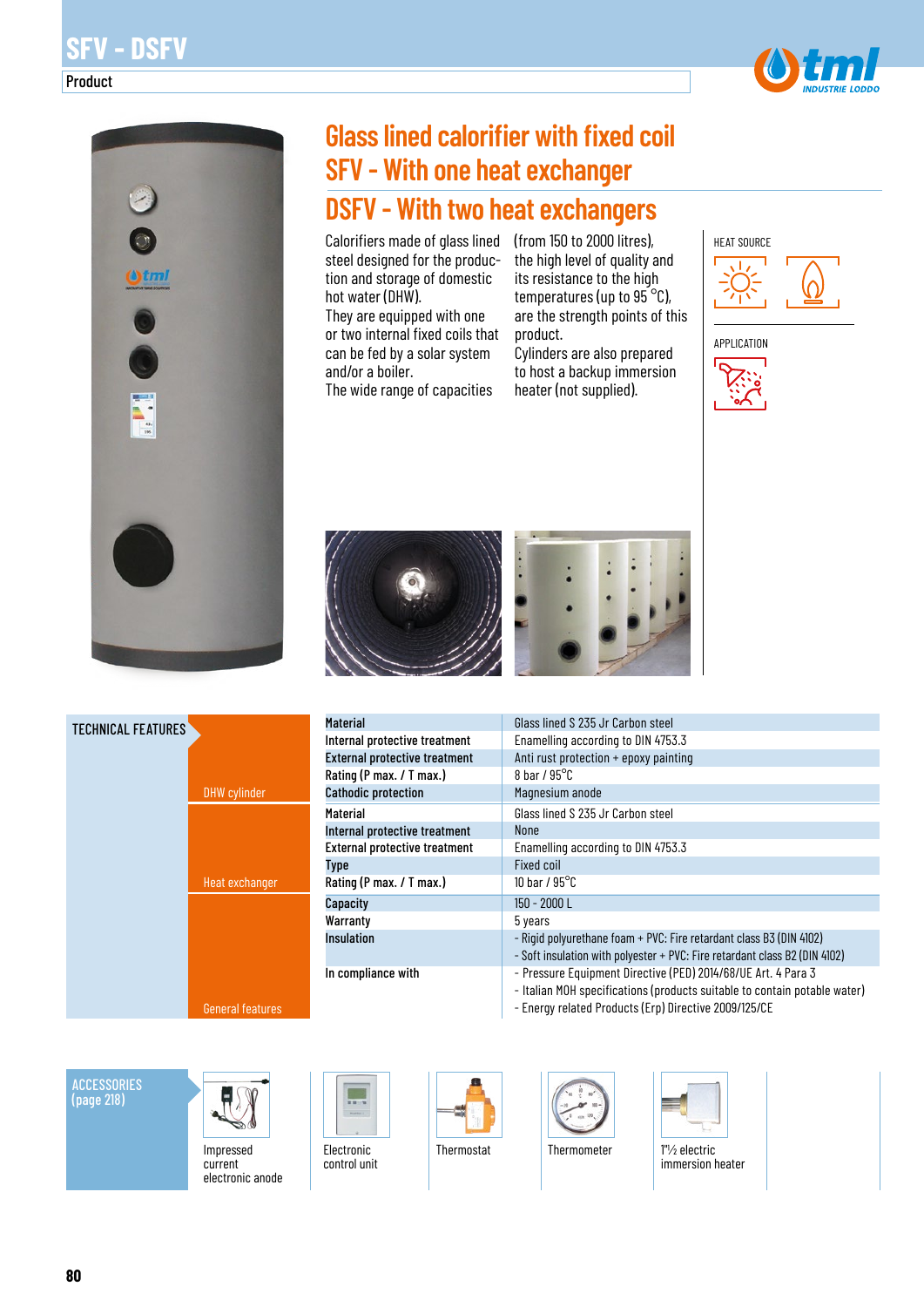# **SFV - DSFV**

Product





# **Glass lined calorifier with fixed coil SFV - With one heat exchanger DSFV - With two heat exchangers**

Calorifiers made of glass lined (from 150 to 2000 litres), steel designed for the production and storage of domestic hot water (DHW).

They are equipped with one or two internal fixed coils that can be fed by a solar system and/or a boiler.

The wide range of capacities

the high level of quality and its resistance to the high temperatures (up to  $95^{\circ}$ C), are the strength points of this product.

Cylinders are also prepared to host a backup immersion heater (not supplied).







| Material                             | Glass lined S 235 Jr Carbon steel                                                                                                          |
|--------------------------------------|--------------------------------------------------------------------------------------------------------------------------------------------|
| Internal protective treatment        | Enamelling according to DIN 4753.3                                                                                                         |
| <b>External protective treatment</b> | Anti rust protection + epoxy painting                                                                                                      |
| Rating (P max. / T max.)             | 8 bar / $95^{\circ}$ C                                                                                                                     |
| <b>Cathodic protection</b>           | Magnesium anode                                                                                                                            |
| <b>Material</b>                      | Glass lined S 235 Jr Carbon steel                                                                                                          |
| Internal protective treatment        | <b>None</b>                                                                                                                                |
| <b>External protective treatment</b> | Enamelling according to DIN 4753.3                                                                                                         |
| <b>Type</b>                          | Fixed coil                                                                                                                                 |
| Rating (P max. / T max.)             | 10 bar / $95^{\circ}$ C                                                                                                                    |
| Capacity                             | $150 - 2000$ L                                                                                                                             |
| Warranty                             | 5 years                                                                                                                                    |
| <b>Insulation</b>                    | - Rigid polyurethane foam + PVC: Fire retardant class B3 (DIN 4102)                                                                        |
|                                      | - Soft insulation with polyester + PVC: Fire retardant class B2 (DIN 4102)                                                                 |
| In compliance with                   | - Pressure Equipment Directive (PED) 2014/68/UE Art. 4 Para 3<br>- Italian MOH specifications (products suitable to contain potable water) |

- Energy related Products (Erp) Directive 2009/125/CE

**ACCESSORIES** (page 218)

TECHNICAL FEATURES



DHW cylinder

Heat exchanger

General features

Impressed current electronic anode Electronic control unit







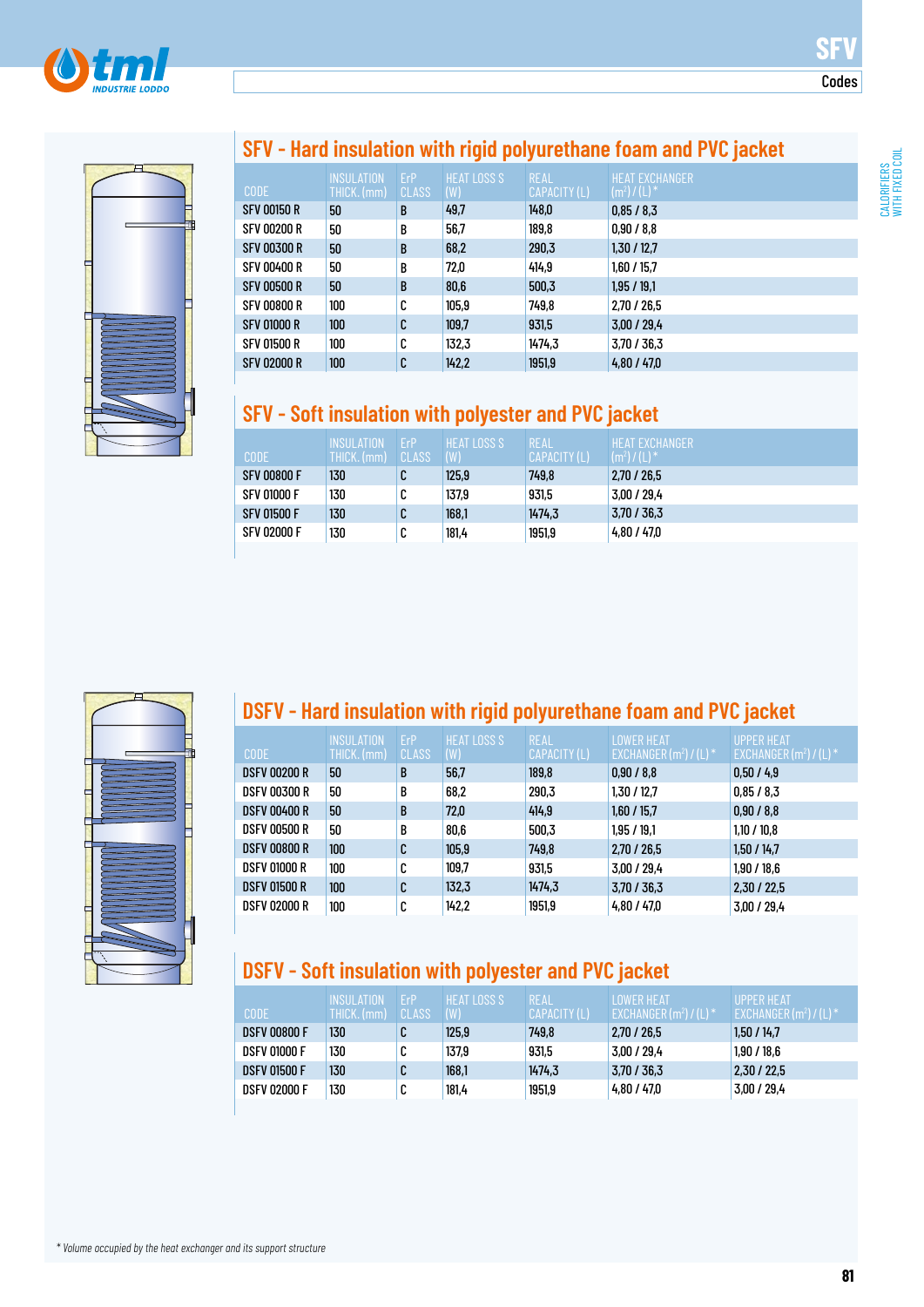



### **SFV - Hard insulation with rigid polyurethane foam and PVC jacket**

| <b>CODE</b>        | <b>INSULATION</b><br>THICK. (mm) | ErP<br><b>CLASS</b> | <b>HEAT LOSS S</b><br>(W) | <b>REAL</b><br>CAPACITY (L) | HEAT EXCHANGER<br>$(m^2) / (L)^*$ |
|--------------------|----------------------------------|---------------------|---------------------------|-----------------------------|-----------------------------------|
| <b>SFV 00150 R</b> | 50                               | B                   | 49,7                      | 148,0                       | 0,85/8,3                          |
| <b>SFV 00200 R</b> | 50                               | B                   | 56,7                      | 189,8                       | 0,90/8,8                          |
| <b>SFV 00300 R</b> | 50                               | B                   | 68,2                      | 290,3                       | 1,30 / 12,7                       |
| <b>SFV 00400 R</b> | 50                               | B                   | 72,0                      | 414.9                       | 1,60/15.7                         |
| <b>SFV 00500 R</b> | 50                               | B                   | 80,6                      | 500,3                       | 1,95/19,1                         |
| <b>SFV 00800 R</b> | 100                              | C                   | 105,9                     | 749.8                       | 2,70 / 26,5                       |
| <b>SFV 01000 R</b> | 100 <sup>°</sup>                 | C                   | 109.7                     | 931,5                       | 3,00/29,4                         |
| <b>SFV 01500 R</b> | 100                              | C                   | 132,3                     | 1474,3                      | 3.70 / 36.3                       |
| <b>SFV 02000 R</b> | 100                              | C                   | 142,2                     | 1951,9                      | 4,80/47,0                         |

### **SFV - Soft insulation with polyester and PVC jacket**

| CODE               | <b>INSULATION</b><br>THICK. (mm) | ErP<br>CLASS | HEAT LOSS S<br>(W) | REAL<br>CAPACITY (L) | HEAT EXCHANGER'<br>$(m2)/(L)$ <sup>*</sup> |
|--------------------|----------------------------------|--------------|--------------------|----------------------|--------------------------------------------|
| <b>SFV 00800 F</b> | 130                              | C            | 125,9              | 749.8                | 2.70 / 26.5                                |
| <b>SFV 01000 F</b> | 130                              | C            | 137.9              | 931,5                | 3,00/29.4                                  |
| <b>SFV 01500 F</b> | 130                              | C            | 168,1              | 1474.3               | 3.70 / 36.3                                |
| <b>SFV 02000 F</b> | 130                              | C            | 181.4              | 1951,9               | 4,80 / 47.0                                |



## **DSFV - Hard insulation with rigid polyurethane foam and PVC jacket**

| <b>CODE</b>         | <b>INSULATION</b><br>THICK. (mm) | ErP<br><b>CLASS</b> | <b>HEAT LOSS S</b><br>(W) | <b>REAL</b><br>CAPACITY (L) | <b>LOWER HEAT</b><br>EXCHANGER $(m^2) / (L)^*$ | <b>UPPER HEAT</b><br>EXCHANGER $(m^2) / (L)^*$ |
|---------------------|----------------------------------|---------------------|---------------------------|-----------------------------|------------------------------------------------|------------------------------------------------|
| <b>DSFV 00200 R</b> | 50                               | B                   | 56,7                      | 189,8                       | 0,90/8,8                                       | 0,50/4,9                                       |
| <b>DSFV 00300 R</b> | 50                               | B                   | 68.2                      | 290,3                       | 1,30/12,7                                      | 0,85/8,3                                       |
| <b>DSFV 00400 R</b> | 50                               | B                   | 72,0                      | 414.9                       | 1,60/15,7                                      | 0,90/8,8                                       |
| <b>DSFV 00500 R</b> | 50                               | B                   | 80.6                      | 500.3                       | 1.95 / 19.1                                    | 1,10/10.8                                      |
| <b>DSFV 00800 R</b> | 100                              | C                   | 105.9                     | 749,8                       | 2,70/26,5                                      | 1,50/14,7                                      |
| <b>DSFV 01000 R</b> | 100                              | C                   | 109.7                     | 931,5                       | 3,00/29.4                                      | 1.90 / 18.6                                    |
| <b>DSFV 01500 R</b> | 100                              | C                   | 132,3                     | 1474,3                      | 3,70/36,3                                      | 2,30/22,5                                      |
| <b>DSFV 02000 R</b> | 100                              | C                   | 142.2                     | 1951,9                      | 4,80/47,0                                      | 3,00 / 29,4                                    |

### **DSFV - Soft insulation with polyester and PVC jacket**

| <b>CODE</b>         | <b>INSULATION</b><br>THICK. (mm) | <b>FrP</b><br><b>CLASS</b> | <b>HEAT LOSS S</b><br>(W) | <b>REAL</b><br>CAPACITY (L) | II OWER HEAT '<br>$\mathsf{EXCHANGER}\left(\mathsf{m}^2\right) / \left(\mathsf{L}\right)^*$ | <b>UPPFR HFAT</b><br>EXCHANGER (m <sup>2</sup> ) / (L) * 1 |
|---------------------|----------------------------------|----------------------------|---------------------------|-----------------------------|---------------------------------------------------------------------------------------------|------------------------------------------------------------|
| <b>DSFV 00800 F</b> | 130                              | C                          | 125,9                     | 749.8                       | 2,70 / 26,5                                                                                 | 1.50 / 14.7                                                |
| <b>DSFV 01000 F</b> | 130                              | C                          | 137.9                     | 931,5                       | 3.00 / 29.4                                                                                 | 1.90 / 18.6                                                |
| <b>DSFV 01500 F</b> | 130                              | C                          | 168,1                     | 1474.3                      | 3,70/36,3                                                                                   | 2,30/22,5                                                  |
| <b>DSFV 02000 F</b> | 130                              | C                          | 181.4                     | 1951,9                      | 4.80 / 47.0                                                                                 | 3,00 / 29,4                                                |

**SFV**

Codes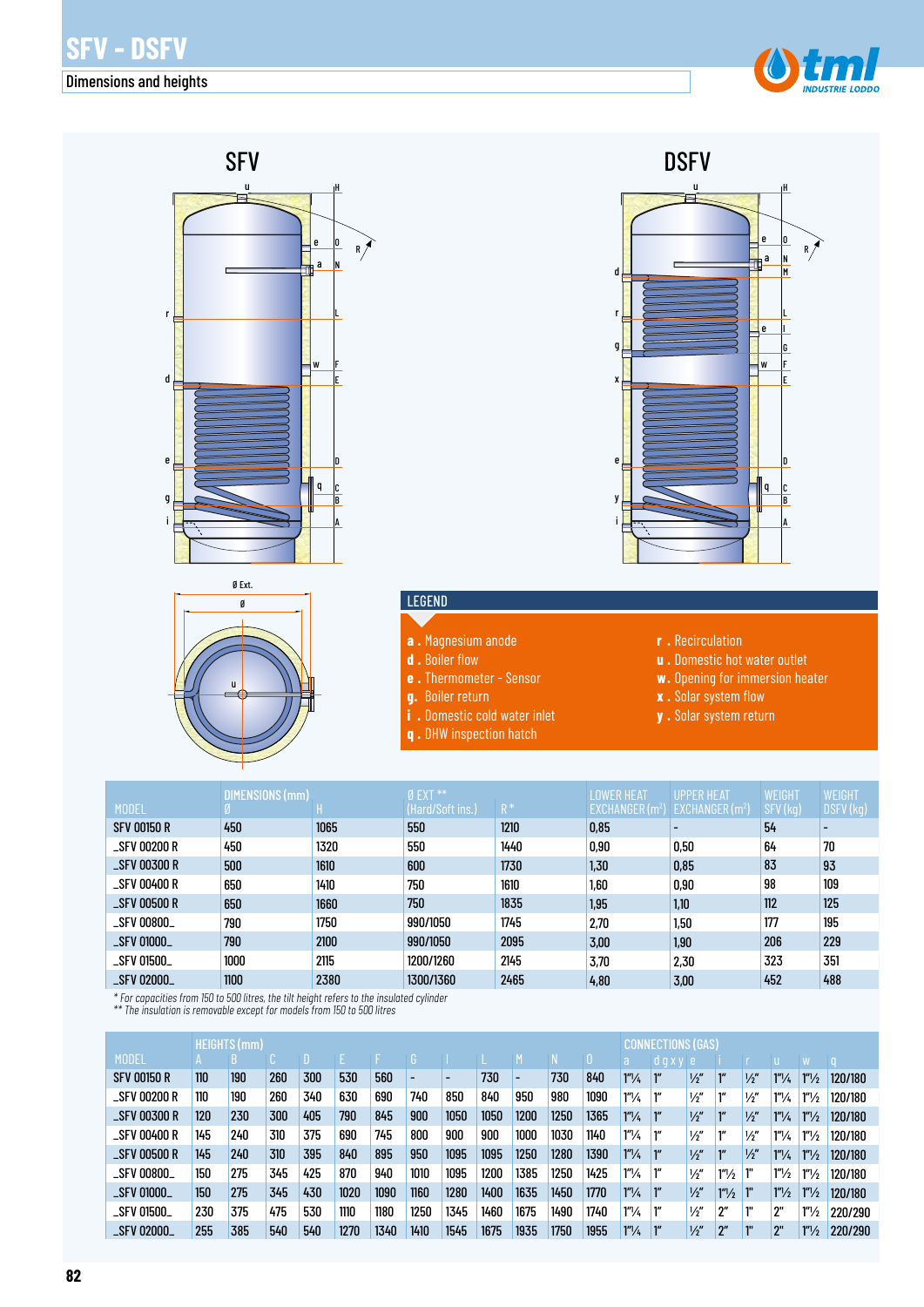#### Dimensions and heights



e

H

O N

M

a

e

w

F

E

D C B A

G

I L

q





#### LEGEND

- **a .** Magnesium anode
- **d .** Boiler flow
- **e .** Thermometer Sensor
- **g.** Boiler return
- 
- **i .** Domestic cold water inlet **q .** DHW inspection hatch
- **r .** Recirculation

y

i

e

r

g

d

x

**DSFV** 

- **u .** Domestic hot water outlet
- **w.** Opening for immersion heater
- **x .** Solar system flow
- **y .** Solar system return

| <b>MODEL</b>        | DIMENSIONS (mm) |      | $0$ EXT $**$<br>(Hard/Soft ins.) | $R^*$ | <b>LOWER HEAT</b><br>EXCHANGER(m <sup>2</sup> ) | <b>UPPER HEAT</b><br>EXCHANGER(m <sup>2</sup> ) | WEIGHT<br>SFV (kg) | WEIGHT<br>DSFV (kg) |
|---------------------|-----------------|------|----------------------------------|-------|-------------------------------------------------|-------------------------------------------------|--------------------|---------------------|
| <b>SFV 00150 R</b>  | 450             | 1065 | 550                              | 1210  | 0,85                                            |                                                 | 54                 |                     |
| $\_$ SFV 00200 $R$  | 450             | 1320 | 550                              | 1440  | 0,90                                            | 0.50                                            | 64                 | 70                  |
| $\S$ FV 00300 R     | 500             | 1610 | 600                              | 1730  | 1,30                                            | 0.85                                            | 83                 | 93                  |
| _SFV 00400 R        | 650             | 1410 | 750                              | 1610  | 1,60                                            | 0.90                                            | 98                 | 109                 |
| $\_$ SFV 00500 $R$  | 650             | 1660 | 750                              | 1835  | 1,95                                            | 1,10                                            | 112                | 125                 |
| $\_$ SFV 00800 $\_$ | 790             | 1750 | 990/1050                         | 1745  | 2,70                                            | 1,50                                            | 177                | 195                 |
| _SFV 01000_         | 790             | 2100 | 990/1050                         | 2095  | 3.00                                            | 1,90                                            | 206                | 229                 |
| _SFV 01500_         | 1000            | 2115 | 1200/1260                        | 2145  | 3,70                                            | 2,30                                            | 323                | 351                 |
| <b>_SFV 02000_</b>  | 1100            | 2380 | 1300/1360                        | 2465  | 4,80                                            | 3,00                                            | 452                | 488                 |

*\* For capacities from 150 to 500 litres, the tilt height refers to the insulated cylinder*

*\*\* The insulation is removable except for models from 150 to 500 litres*

|                     |     | HEIGHTS (mm) |     |     |      |      |      |      |      |                          |      |      |                        |                 | NECTIONS (GAS) |                    |               |                      |                      |         |  |
|---------------------|-----|--------------|-----|-----|------|------|------|------|------|--------------------------|------|------|------------------------|-----------------|----------------|--------------------|---------------|----------------------|----------------------|---------|--|
| <b>MODEL</b>        |     |              |     |     |      |      |      |      |      |                          |      |      | a                      | dgxy e          |                |                    |               |                      |                      |         |  |
| <b>SFV 00150 R</b>  | 110 | 190          | 260 | 300 | 530  | 560  |      |      | 730  | $\overline{\phantom{0}}$ | 730  | 840  | $1''\frac{1}{4}$       | ľ″              | $\frac{1}{2}$  | $1^{\prime\prime}$ | $\frac{1}{2}$ | $1''\frac{1}{4}$     | $1''\frac{1}{2}$     | 120/180 |  |
| _SFV 00200 R        | 110 | 190          | 260 | 340 | 630  | 690  | 740  | 850  | 840  | 950                      | 980  | 1090 | 1''/4                  |                 | $\frac{1}{2}$  | 111                | $\frac{1}{2}$ | $1^{\prime\prime}/4$ | $1''\frac{1}{2}$     | 120/180 |  |
| <b>_SFV 00300 R</b> | 120 | 230          | 300 | 405 | 790  | 845  | 900  | 1050 | 1050 | 1200                     | 1250 | 1365 | $1^{\prime\prime}/4$   |                 | $\frac{1}{2}$  | $1^{\prime\prime}$ | $\frac{1}{2}$ | $1^{\prime\prime}/4$ | $1''\frac{1}{2}$     | 120/180 |  |
| $\_$ SFV 00400 $R$  | 145 | 240          | 310 | 375 | 690  | 745  | 800  | 900  | 900  | 1000                     | 1030 | 1140 | 1''/4                  | ľ″              | $\frac{1}{2}$  | 111                | $\frac{1}{2}$ | $1^{\prime\prime}/4$ | $1''\frac{1}{2}$     | 120/180 |  |
| <b>_SFV 00500 R</b> | 145 | 240          | 310 | 395 | 840  | 895  | 950  | 1095 | 1095 | 1250                     | 1280 | 1390 | $1''\frac{1}{4}$       | ľ″              | $\frac{1}{2}$  | $1^{\prime\prime}$ | $\frac{1}{2}$ | $1''\frac{1}{4}$     | $1''\frac{1}{2}$     | 120/180 |  |
| <b>_SFV 00800_</b>  | 150 | 275          | 345 | 425 | 870  | 940  | 1010 | 1095 | 1200 | 1385                     | 1250 | 1425 | 1''/4                  | ľ"              | $\frac{1}{2}$  | 1 <sup>n</sup> /2  | 1"            | 1 <sup>n</sup> /2    | $1''\frac{1}{2}$     | 120/180 |  |
| <b>_SFV 01000_</b>  | 150 | 275          | 345 | 430 | 1020 | 1090 | 1160 | 1280 | 1400 | 1635                     | 1450 | 1770 | 1 <sup>n</sup> /4      | 1 <sup>''</sup> | $\frac{1}{2}$  | $1''\frac{1}{2}$   |               | 1 <sup>n</sup> /2    | $1''\frac{1}{2}$     | 120/180 |  |
| <b>_SFV 01500_</b>  | 230 | 375          | 475 | 530 | 1110 | 1180 | 1250 | 1345 | 1460 | 1675                     | 1490 | 1740 | $1^{\prime\prime}/\mu$ | ľ″              | $\frac{1}{2}$  | 2″                 | 1"            | ን"                   | $1''\frac{1}{2}$     | 220/290 |  |
| _SFV 02000_         | 255 | 385          | 540 | 540 | 1270 | 1340 | 1410 | 1545 | 1675 | 1935                     | 1750 | 1955 | 1 <sup>n</sup> /4      |                 | $\frac{1}{2}$  | $2^{\prime\prime}$ | 10            | 2"                   | $1^{\prime\prime}/2$ | 220/290 |  |

**82**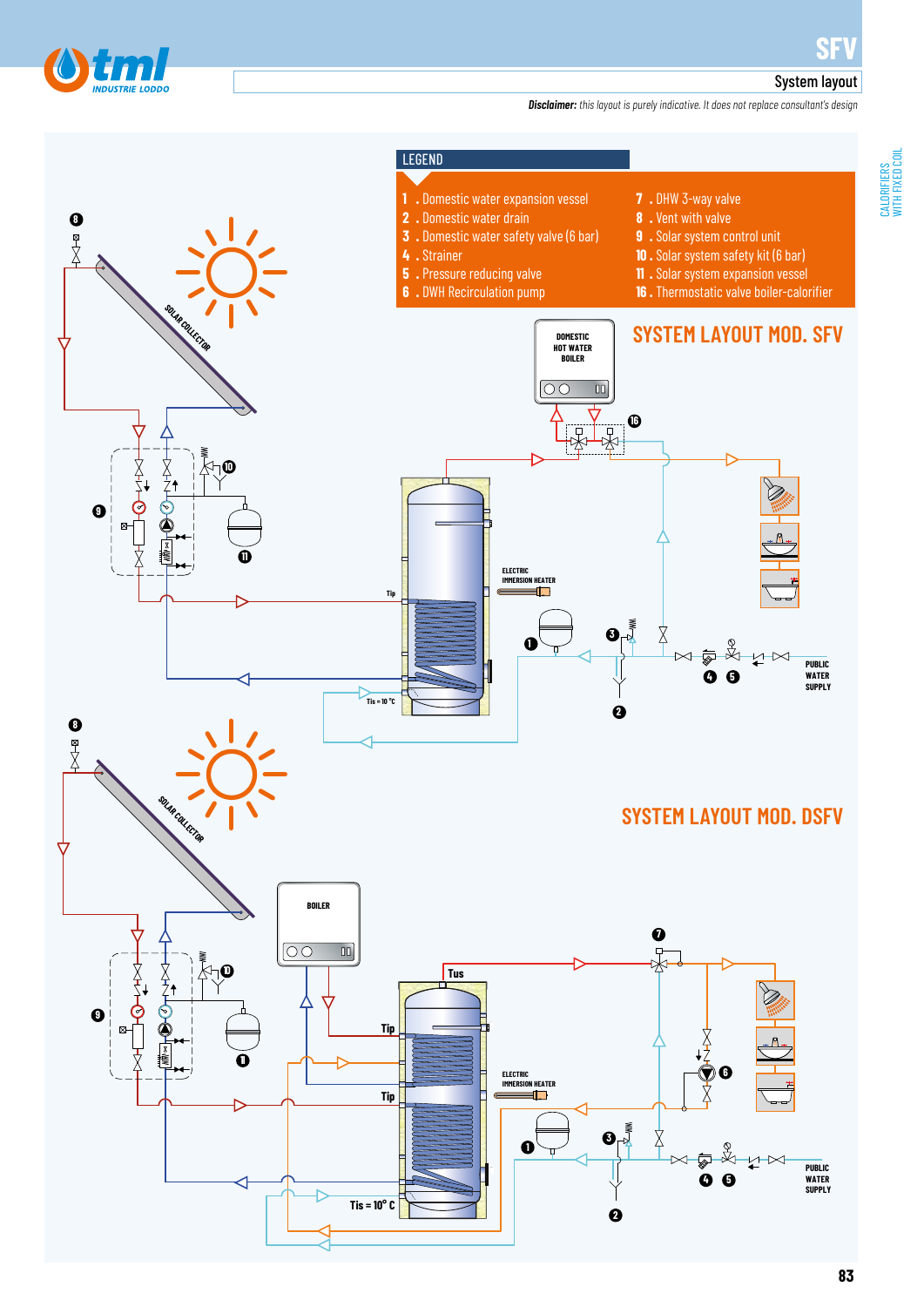

WITH FIXED COIL

#### System layout

*Disclaimer: this layout is purely indicative. It does not replace consultant's design*



**83**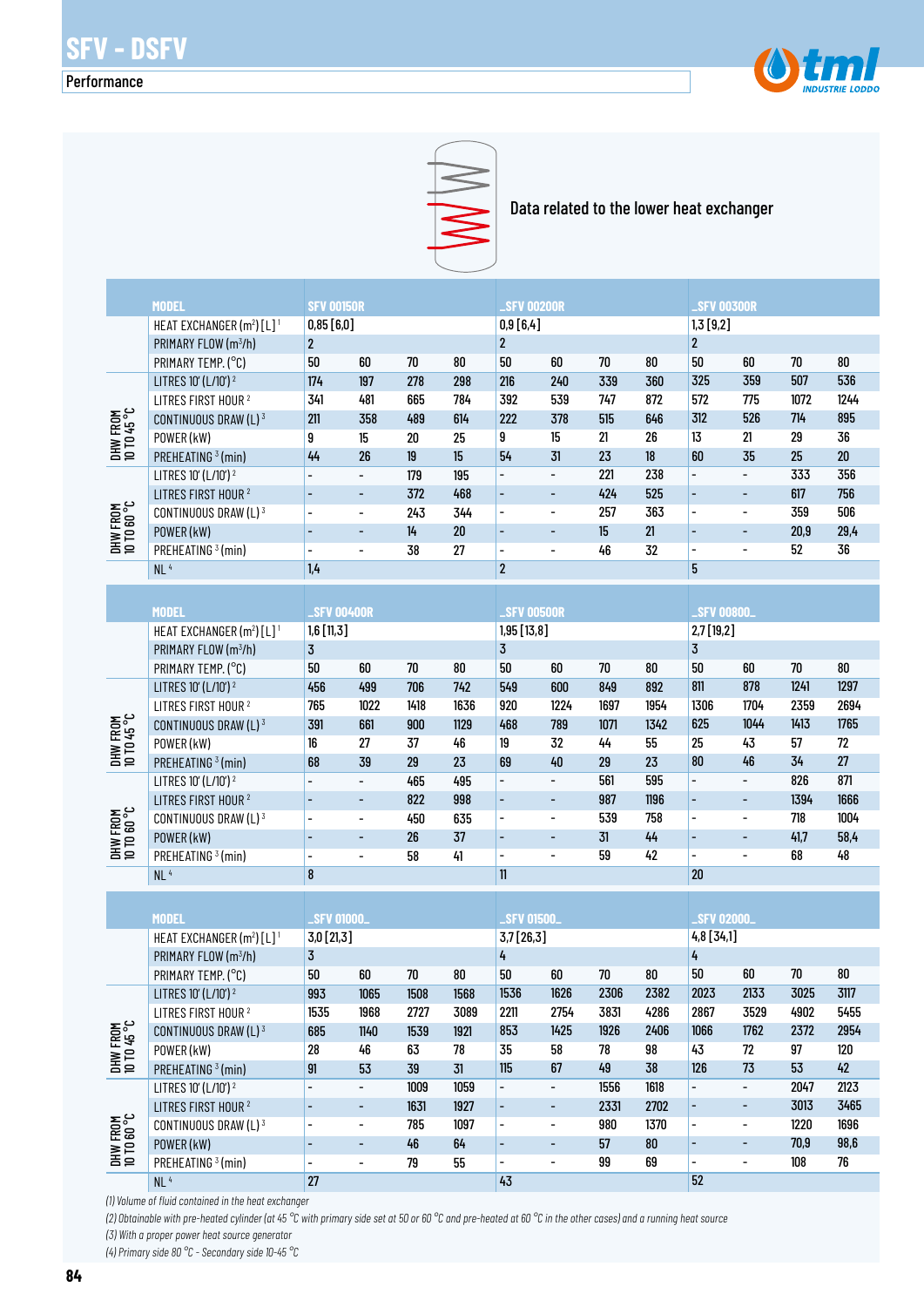#### Performance





Data related to the lower heat exchanger

|                         | <b>MODEL</b>                                      | <b>SFV 00150R</b>        |                          |        |        | <b>_SFV 00200R</b>       |                          |        |            | <b>_SFV 00300R</b>       |                          |      |        |  |  |
|-------------------------|---------------------------------------------------|--------------------------|--------------------------|--------|--------|--------------------------|--------------------------|--------|------------|--------------------------|--------------------------|------|--------|--|--|
|                         | HEAT EXCHANGER (m <sup>2</sup> ) [L] <sup>1</sup> | 0,85 [6,0]               |                          |        |        | 0,9 [6,4]                |                          |        |            | 1,3 [9,2]                |                          |      |        |  |  |
|                         | PRIMARY FLOW (m <sup>3</sup> /h)                  | $\overline{2}$           |                          |        |        | $\mathbf 2$              |                          |        |            | $\overline{2}$           |                          |      |        |  |  |
|                         | PRIMARY TEMP. (°C)                                | 50                       | 60                       | 70     | 80     | 50                       | 60                       | 70     | $80\,$     | 50                       | 60                       | 70   | 80     |  |  |
|                         | LITRES 10' (L/10') <sup>2</sup>                   | 174                      | 197                      | 278    | 298    | 216                      | 240                      | 339    | 360        | 325                      | 359                      | 507  | 536    |  |  |
|                         | LITRES FIRST HOUR <sup>2</sup>                    | 341                      | 481                      | 665    | 784    | 392                      | 539                      | 747    | 872        | 572                      | 775                      | 1072 | 1244   |  |  |
|                         | CONTINUOUS DRAW (L) 3                             | 211                      | 358                      | 489    | 614    | 222                      | 378                      | 515    | 646        | 312                      | 526                      | 714  | 895    |  |  |
|                         | POWER (kW)                                        | 9                        | 15                       | $20\,$ | 25     | 9                        | 15                       | 21     | 26         | 13                       | 21                       | 29   | 36     |  |  |
| DHW FROM<br>10 TD 45 °C | PREHEATING <sup>3</sup> (min)                     | 44                       | 26                       | 19     | 15     | 54                       | 31                       | 23     | 18         | 60                       | 35                       | 25   | $20\,$ |  |  |
|                         | LITRES 10' (L/10') <sup>2</sup>                   |                          | $\overline{\phantom{a}}$ | 179    | 195    | $\overline{\phantom{0}}$ | $\overline{a}$           | 221    | 238        | $\overline{\phantom{0}}$ | $\overline{\phantom{a}}$ | 333  | 356    |  |  |
|                         | LITRES FIRST HOUR <sup>2</sup>                    |                          | $\overline{\phantom{a}}$ | 372    | 468    | ÷                        | ÷,                       | 424    | 525        |                          | $\overline{\phantom{a}}$ | 617  | 756    |  |  |
|                         | CONTINUOUS DRAW (L) 3                             |                          | $\overline{\phantom{a}}$ | 243    | 344    | $\overline{\phantom{0}}$ | $\overline{\phantom{0}}$ | 257    | 363        | $\overline{\phantom{a}}$ | $\overline{\phantom{a}}$ | 359  | 506    |  |  |
|                         | POWER (kW)                                        |                          | $\overline{\phantom{m}}$ | 14     | 20     | $\overline{\phantom{a}}$ | ÷,                       | 15     | 21         |                          | $\overline{\phantom{a}}$ | 20,9 | 29,4   |  |  |
| DHW FROM<br>10 TO 60 °C | PREHEATING <sup>3</sup> (min)                     | $\overline{\phantom{a}}$ | $\overline{\phantom{a}}$ | 38     | 27     | $\qquad \qquad -$        | $\overline{\phantom{0}}$ | 46     | 32         | $\overline{\phantom{a}}$ | $\overline{\phantom{0}}$ | 52   | 36     |  |  |
|                         | NL <sup>4</sup>                                   | 1,4                      |                          |        |        | $\boldsymbol{2}$         |                          |        |            | 5                        |                          |      |        |  |  |
|                         |                                                   |                          |                          |        |        |                          |                          |        |            |                          |                          |      |        |  |  |
|                         | <b>MODEL</b>                                      | <b>SFV 00400R</b>        |                          |        |        | <b>_SFV 00500R</b>       |                          |        |            | <b>SFV 00800_</b>        |                          |      |        |  |  |
|                         | HEAT EXCHANGER (m <sup>2</sup> ) [L] <sup>1</sup> | $1,6$ [11,3]             |                          |        |        | 1,95 [13,8]              |                          |        |            | $2,7$ [19,2]             |                          |      |        |  |  |
|                         | PRIMARY FLOW (m <sup>3</sup> /h)                  | $\overline{3}$           |                          |        |        | 3                        |                          |        |            | $\overline{3}$           |                          |      |        |  |  |
|                         | PRIMARY TEMP. (°C)                                | 50                       | 60                       | $70\,$ | $80\,$ | 50                       | 60                       | $70\,$ | ${\bf 80}$ | 50                       | 60                       | 70   | 80     |  |  |
|                         | LITRES 10' (L/10') <sup>2</sup>                   | 456                      | 499                      | 706    | 742    | 549                      | 600                      | 849    | 892        | 811                      | 878                      | 1241 | 1297   |  |  |
|                         | LITRES FIRST HOUR <sup>2</sup>                    | 765                      | 1022                     | 1418   | 1636   | 920                      | 1224                     | 1697   | 1954       | 1306                     | 1704                     | 2359 | 2694   |  |  |
|                         | CONTINUOUS DRAW (L) 3                             | 391                      | 661                      | 900    | 1129   | 468                      | 789                      | 1071   | 1342       | 625                      | 1044                     | 1413 | 1765   |  |  |
| DHW FROM<br>10 TD 45 °C | POWER (kW)                                        | 16                       | 27                       | 37     | 46     | 19                       | 32                       | 44     | 55         | 25                       | 43                       | 57   | 72     |  |  |
|                         | PREHEATING <sup>3</sup> (min)                     | 68                       | 39                       | 29     | 23     | 69                       | 40                       | 29     | 23         | 80                       | 46                       | 34   | 27     |  |  |
|                         | LITRES 10' (L/10') <sup>2</sup>                   |                          | $\overline{\phantom{a}}$ | 465    | 495    | $\frac{1}{2}$            | $\overline{a}$           | 561    | 595        | $\overline{\phantom{0}}$ | $\overline{\phantom{a}}$ | 826  | 871    |  |  |
|                         | LITRES FIRST HOUR <sup>2</sup>                    |                          | $\overline{\phantom{a}}$ | 822    | 998    | ÷,                       | ÷,                       | 987    | 1196       | L,                       | $\overline{\phantom{a}}$ | 1394 | 1666   |  |  |
|                         | CONTINUOUS DRAW (L) 3                             | $\overline{\phantom{0}}$ | $\blacksquare$           | 450    | 635    | $\overline{\phantom{0}}$ | $\overline{\phantom{0}}$ | 539    | 758        | $\overline{\phantom{a}}$ | $\overline{\phantom{a}}$ | 718  | 1004   |  |  |
|                         | POWER (kW)                                        |                          | $\overline{\phantom{a}}$ | 26     | 37     | $\overline{\phantom{a}}$ | ÷,                       | 31     | 44         | $\overline{\phantom{a}}$ | $\overline{\phantom{a}}$ | 41,7 | 58,4   |  |  |
| DHW FROM<br>10 TO 60 °C | PREHEATING <sup>3</sup> (min)                     | $\overline{\phantom{a}}$ | $\overline{\phantom{a}}$ | 58     | 41     | $\qquad \qquad -$        | $\overline{\phantom{0}}$ | 59     | 42         | $\overline{\phantom{a}}$ | $\qquad \qquad -$        | 68   | 48     |  |  |
|                         | NL <sup>4</sup>                                   | 8                        |                          |        |        | $\mathbf{11}$            |                          |        |            | 20                       |                          |      |        |  |  |
|                         |                                                   |                          |                          |        |        |                          |                          |        |            |                          |                          |      |        |  |  |
|                         | <b>MODEL</b>                                      | <b>_SFV 01000.</b>       |                          |        |        | <b>_SFV 01500_</b>       |                          |        |            | <b>SFV 02000</b>         |                          |      |        |  |  |
|                         | HEAT EXCHANGER (m <sup>2</sup> ) [L] <sup>1</sup> | 3,0 [21,3]               |                          |        |        | 3,7 [26,3]               |                          |        |            | 4,8[34,1]                |                          |      |        |  |  |
|                         | PRIMARY FLOW (m3/h)                               | 3                        |                          |        |        | 4                        |                          |        |            | 4                        |                          |      |        |  |  |
|                         | PRIMARY TEMP. (°C)                                | 50                       | 60                       | 70     | 80     | 50                       | 60                       | 70     | 80         | 50                       | 60                       | 70   | 80     |  |  |
|                         | LITRES 10' (L/10') <sup>2</sup>                   | 993                      | 1065                     | 1508   | 1568   | 1536                     | 1626                     | 2306   | 2382       | 2023                     | 2133                     | 3025 | 3117   |  |  |
|                         | LITRES FIRST HOUR <sup>2</sup>                    | 1535                     | 1968                     | 2727   | 3089   | 2211                     | 2754                     | 3831   | 4286       | 2867                     | 3529                     | 4902 | 5455   |  |  |
|                         | CONTINUOUS DRAW (L) 3                             | 685                      | 1140                     | 1539   | 1921   | 853                      | 1425                     | 1926   | 2406       | 1066                     | 1762                     | 2372 | 2954   |  |  |
|                         | POWER (kW)                                        | 28                       | 46                       | 63     | 78     | 35                       | 58                       | 78     | 98         | 43                       | 72                       | 97   | 120    |  |  |
| DHW FROM<br>10 TO 45 °C | PREHEATING <sup>3</sup> (min)                     | 91                       | 53                       | 39     | 31     | 115                      | 67                       | $49\,$ | 38         | 126                      | 73                       | 53   | 42     |  |  |
|                         | LITRES 10' (L/10') <sup>2</sup>                   |                          | $\overline{\phantom{a}}$ | 1009   | 1059   | $\overline{\phantom{0}}$ | $\overline{\phantom{0}}$ | 1556   | 1618       |                          | ۰                        | 2047 | 2123   |  |  |
|                         | LITRES FIRST HOUR <sup>2</sup>                    |                          | $\overline{\phantom{a}}$ | 1631   | 1927   | $\qquad \qquad -$        | $\blacksquare$           | 2331   | 2702       | ÷,                       | $\overline{\phantom{a}}$ | 3013 | 3465   |  |  |
|                         | CONTINUOUS DRAW (L) 3                             | $\overline{a}$           | $\overline{\phantom{a}}$ | 785    | 1097   | $\overline{\phantom{0}}$ | $\overline{\phantom{0}}$ | 980    | 1370       | -                        | ۰                        | 1220 | 1696   |  |  |
|                         | POWER (kW)                                        |                          | $\overline{\phantom{a}}$ | $46\,$ | 64     | ÷                        | $\overline{\phantom{a}}$ | 57     | ${\bf 80}$ |                          | $\blacksquare$           | 70,9 | 98,6   |  |  |
| DHW FROM<br>10 TO 60 °C | PREHEATING <sup>3</sup> (min)                     | -                        | $\overline{\phantom{a}}$ | 79     | 55     | $\overline{\phantom{0}}$ | $\overline{\phantom{a}}$ | 99     | 69         | -                        | $\overline{\phantom{a}}$ | 108  | 76     |  |  |
|                         |                                                   |                          |                          |        |        |                          |                          |        |            |                          |                          |      |        |  |  |

52

43

*(1) Volume of fluid contained in the heat exchanger*

 $NL<sup>4</sup>$ 

*(2) Obtainable with pre-heated cylinder (at 45 °C with primary side set at 50 or 60 °C and pre-heated at 60 °C in the other cases) and a running heat source (3) With a proper power heat source generator*

27

*(4) Primary side 80 °C - Secondary side 10-45 °C*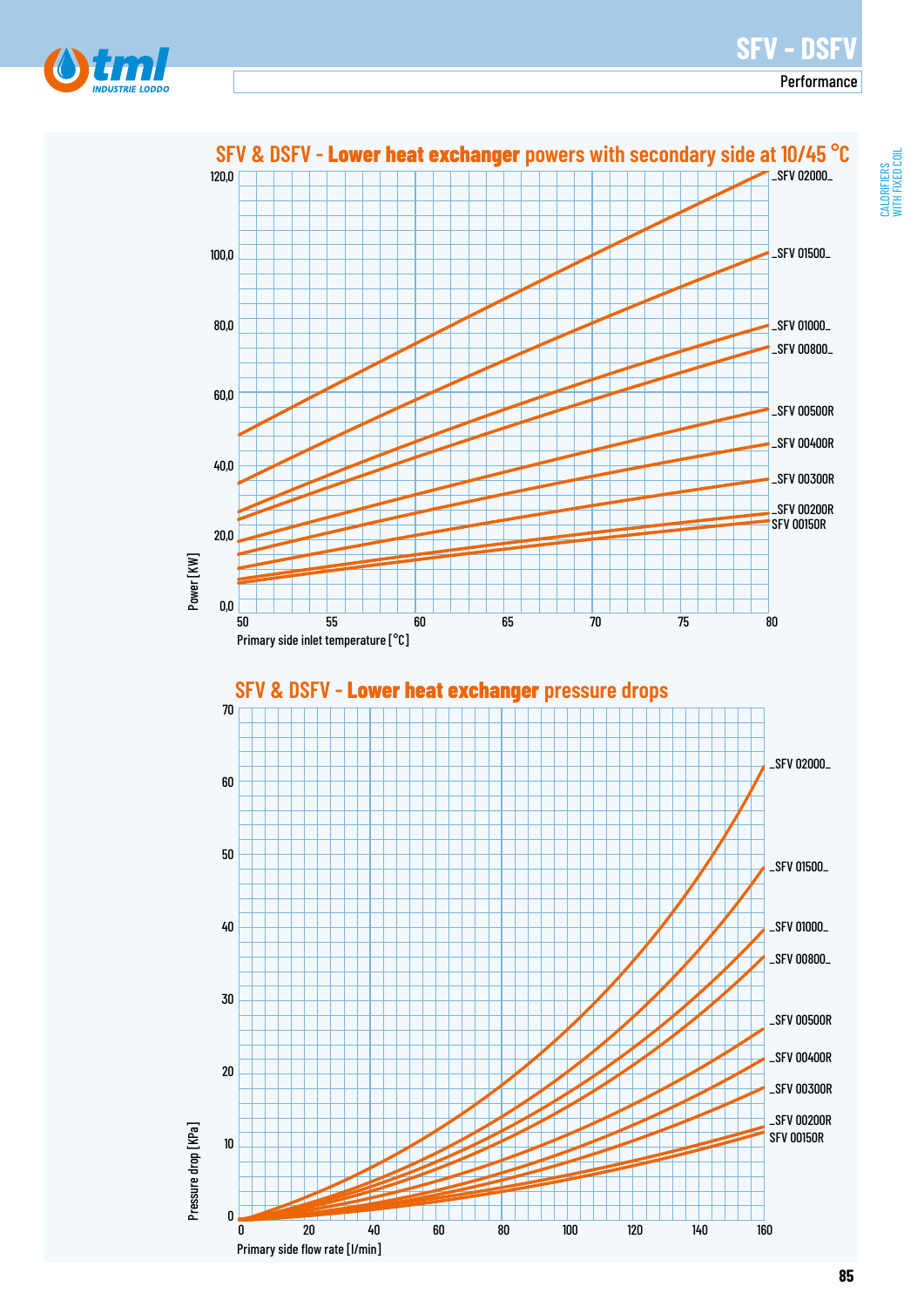# **SFV - DSFV**

Performance



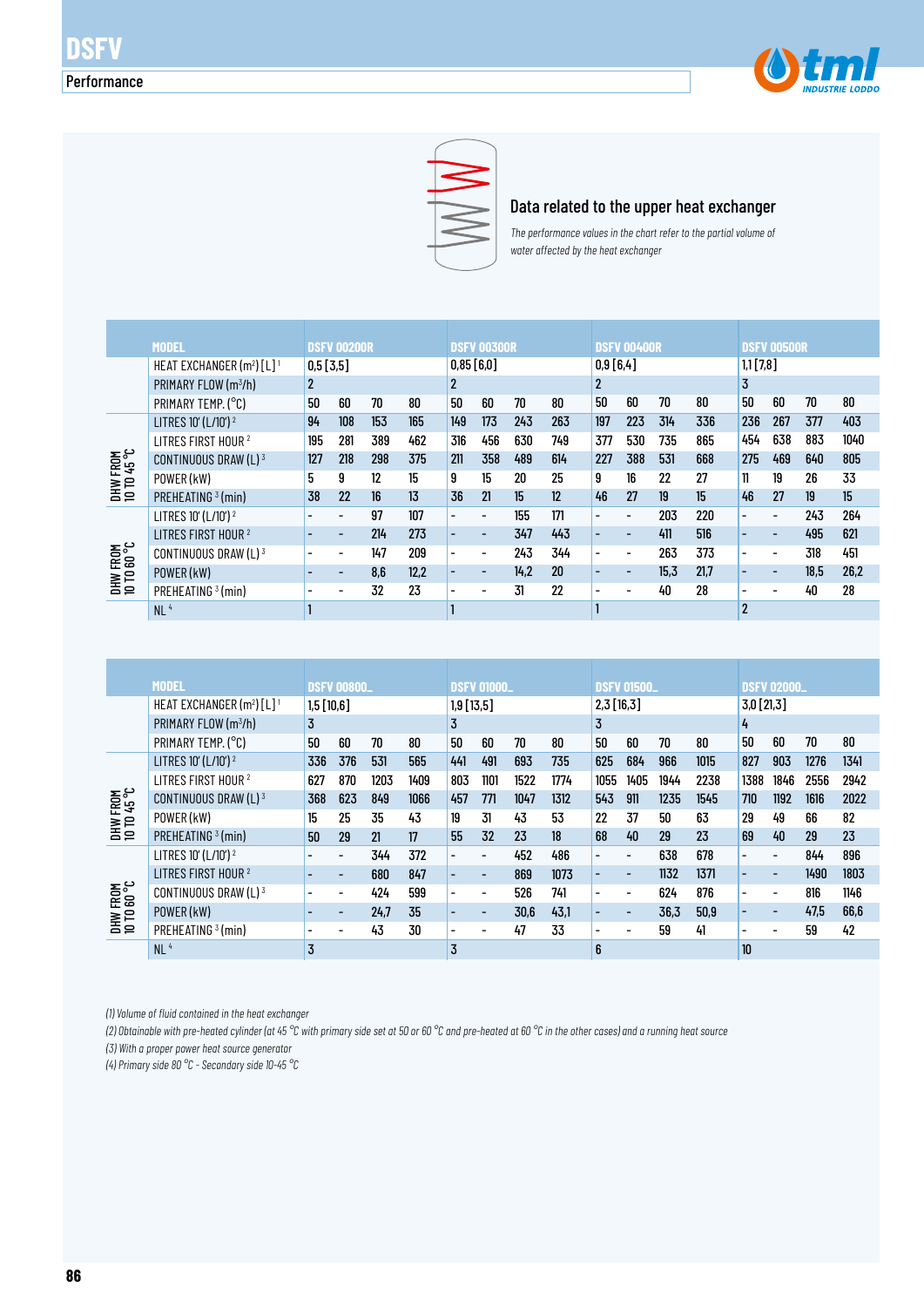



#### Data related to the upper heat exchanger

*The performance values in the chart refer to the partial volume of water affected by the heat exchanger* 

|                                |                                         |              |                          |     |      | <b>DSFV 00300R</b>       |                          |      |     |                          |                          |      |      | <b>DSFV 00500R</b>       |                          |      |      |
|--------------------------------|-----------------------------------------|--------------|--------------------------|-----|------|--------------------------|--------------------------|------|-----|--------------------------|--------------------------|------|------|--------------------------|--------------------------|------|------|
|                                | <b>MODEL</b>                            |              | <b>DSFV 00200R</b>       |     |      |                          |                          |      |     |                          | <b>DSFV 00400R</b>       |      |      |                          |                          |      |      |
|                                | HEAT EXCHANGER $(m^2)$ [L] <sup>1</sup> | 0,5[3,5]     |                          |     |      |                          | 0,85 [6,0]               |      |     | 0,9[6,4]                 |                          |      |      | $1,1$ [7,8]              |                          |      |      |
|                                | PRIMARY FLOW (m <sup>3</sup> /h)        | $\mathbf{2}$ |                          |     |      |                          | $\overline{2}$           |      |     | $\overline{2}$           |                          |      |      | 3                        |                          |      |      |
|                                | PRIMARY TEMP. (°C)                      | 50           | 60                       | 70  | 80   | 50                       | 60                       | 70   | 80  | 50                       | 60                       | 70   | 80   | 50                       | 60                       | 70   | 80   |
|                                | LITRES 10' (L/10') <sup>2</sup>         | 94           | 108                      | 153 | 165  | 149                      | 173                      | 243  | 263 | 197                      | 223                      | 314  | 336  | 236                      | 267                      | 377  | 403  |
|                                | LITRES FIRST HOUR <sup>2</sup>          | 195          | 281                      | 389 | 462  | 316                      | 456                      | 630  | 749 | 377                      | 530                      | 735  | 865  | 454                      | 638                      | 883  | 1040 |
| DHW FROM<br>10 TD 45 °C        | CONTINUOUS DRAW $(L)^3$                 | 127          | 218                      | 298 | 375  | 211                      | 358                      | 489  | 614 | 227                      | 388                      | 531  | 668  | 275                      | 469                      | 640  | 805  |
|                                | POWER (kW)                              | 5            | 9                        | 12  | 15   | 9                        | 15                       | 20   | 25  | 9                        | 16                       | 22   | 27   | 11                       | 19                       | 26   | 33   |
|                                | PREHEATING <sup>3</sup> (min)           | 38           | 22                       | 16  | 13   | 36                       | 21                       | 15   | 12  | 46                       | 27                       | 19   | 15   | 46                       | 27                       | 19   | 15   |
|                                | LITRES 10' (L/10') <sup>2</sup>         |              |                          | 97  | 107  | $\overline{\phantom{0}}$ | $\overline{\phantom{0}}$ | 155  | 171 | $\overline{\phantom{0}}$ | $\overline{a}$           | 203  | 220  | $\overline{\phantom{0}}$ | $\overline{\phantom{a}}$ | 243  | 264  |
|                                | LITRES FIRST HOUR <sup>2</sup>          |              | ۰                        | 214 | 273  |                          | $\overline{\phantom{0}}$ | 347  | 443 | $\overline{a}$           | $\overline{\phantom{0}}$ | 411  | 516  | $\overline{\phantom{0}}$ | $\overline{\phantom{0}}$ | 495  | 621  |
|                                | CONTINUOUS DRAW (L) 3                   |              |                          | 147 | 209  | $\overline{\phantom{0}}$ | $\overline{\phantom{0}}$ | 243  | 344 | $\overline{\phantom{0}}$ | $\overline{\phantom{a}}$ | 263  | 373  | $\overline{\phantom{a}}$ | $\overline{\phantom{a}}$ | 318  | 451  |
| <b>DHW FROM</b><br>10 TO 60 °C | POWER (kW)                              |              | $\overline{\phantom{0}}$ | 8.6 | 12,2 | $\overline{\phantom{0}}$ | $\overline{\phantom{0}}$ | 14.2 | 20  | -                        | ۰                        | 15.3 | 21.7 | $\overline{\phantom{0}}$ |                          | 18.5 | 26,2 |
|                                | PREHEATING <sup>3</sup> (min)           |              | $\overline{\phantom{0}}$ | 32  | 23   | $\overline{\phantom{0}}$ | -                        | 31   | 22  | $\blacksquare$           | $\overline{\phantom{a}}$ | 40   | 28   |                          |                          | 40   | 28   |
|                                | NL <sup>4</sup>                         |              |                          |     |      |                          |                          |      |     |                          |                          |      |      | $\overline{2}$           |                          |      |      |

|                                 | MODEL                                   |                          | <b>DSFV 00800_</b>       |      |      |                          | <b>DSFV 01000_</b>       |      |      |                          | <b>DSFV 01500_</b>       |      |      |                          | <b>DSFV 02000_</b>       |      |      |
|---------------------------------|-----------------------------------------|--------------------------|--------------------------|------|------|--------------------------|--------------------------|------|------|--------------------------|--------------------------|------|------|--------------------------|--------------------------|------|------|
|                                 | HEAT EXCHANGER $(m^2)$ [L] <sup>1</sup> | 1,5[10,6]                |                          |      |      |                          | $1,9$ [13,5]             |      |      |                          | 2,3[16,3]                |      |      | $3,0$ [21,3]             |                          |      |      |
|                                 | PRIMARY FLOW (m <sup>3</sup> /h)        | 3                        | 3                        |      |      |                          |                          |      |      | 3                        |                          |      |      | 4                        |                          |      |      |
|                                 | PRIMARY TEMP. (°C)                      | 50                       | 60                       | 70   | 80   | 50                       | 60                       | 70   | 80   | 50                       | 60                       | 70   | 80   | 50                       | 60                       | 70   | 80   |
|                                 | LITRES 10' (L/10') <sup>2</sup>         | 336                      | 376                      | 531  | 565  | 441                      | 491                      | 693  | 735  | 625                      | 684                      | 966  | 1015 | 827                      | 903                      | 1276 | 1341 |
|                                 | LITRES FIRST HOUR <sup>2</sup>          | 627                      | 870                      | 1203 | 1409 | 803                      | 1101                     | 1522 | 1774 | 1055                     | 1405                     | 1944 | 2238 | 1388                     | 1846                     | 2556 | 2942 |
| <b>DHW FROM<br/>10 TO 45 °C</b> | CONTINUOUS DRAW (L) 3                   | 368                      | 623                      | 849  | 1066 | 457                      | 771                      | 1047 | 1312 | 543                      | 911                      | 1235 | 1545 | 710                      | 1192                     | 1616 | 2022 |
|                                 | POWER (kW)                              | 15                       | 25                       | 35   | 43   | 19                       | 31                       | 43   | 53   | 22                       | 37                       | 50   | 63   | 29                       | 49                       | 66   | 82   |
|                                 | PREHEATING <sup>3</sup> (min)           | 50                       | 29                       | 21   | 17   | 55                       | 32                       | 23   | 18   | 68                       | 40                       | 29   | 23   | 69                       | 40                       | 29   | 23   |
|                                 | LITRES 10' (L/10') <sup>2</sup>         |                          |                          | 344  | 372  | $\overline{a}$           | $\overline{\phantom{0}}$ | 452  | 486  | $\overline{\phantom{0}}$ | $\blacksquare$           | 638  | 678  | $\overline{\phantom{a}}$ | $\overline{\phantom{a}}$ | 844  | 896  |
|                                 | LITRES FIRST HOUR <sup>2</sup>          |                          |                          | 680  | 847  | $\overline{\phantom{0}}$ | $\overline{\phantom{0}}$ | 869  | 1073 | $\overline{\phantom{0}}$ | $\overline{\phantom{a}}$ | 1132 | 1371 | $\overline{\phantom{0}}$ | $\overline{\phantom{a}}$ | 1490 | 1803 |
| DHW FROM<br>10 TO 60 °C         | CONTINUOUS DRAW (L) $3$                 | $\overline{\phantom{0}}$ | $\overline{\phantom{0}}$ | 424  | 599  | $\overline{\phantom{0}}$ | $\overline{\phantom{0}}$ | 526  | 741  | $\overline{\phantom{0}}$ | $\overline{\phantom{a}}$ | 624  | 876  | $\overline{\phantom{a}}$ | $\overline{\phantom{a}}$ | 816  | 1146 |
|                                 | POWER (kW)                              | $\overline{\phantom{0}}$ | -                        | 24,7 | 35   | $\overline{\phantom{0}}$ | $\overline{\phantom{0}}$ | 30,6 | 43,1 | $\overline{\phantom{0}}$ | $\overline{\phantom{a}}$ | 36,3 | 50.9 | $\overline{\phantom{0}}$ | $\overline{\phantom{a}}$ | 47.5 | 66,6 |
|                                 | PREHEATING <sup>3</sup> (min)           |                          |                          | 43   | 30   | $\overline{\phantom{0}}$ | $\overline{\phantom{0}}$ | 47   | 33   | -                        | $\overline{\phantom{a}}$ | 59   | 41   | $\overline{\phantom{0}}$ |                          | 59   | 42   |
|                                 | NL <sup>4</sup>                         | 3                        |                          |      |      | 3                        |                          |      |      | 6                        |                          |      |      | 10                       |                          |      |      |

*(1) Volume of fluid contained in the heat exchanger*

*(2) Obtainable with pre-heated cylinder (at 45 °C with primary side set at 50 or 60 °C and pre-heated at 60 °C in the other cases) and a running heat source*

*(3) With a proper power heat source generator*

*(4) Primary side 80 °C - Secondary side 10-45 °C*